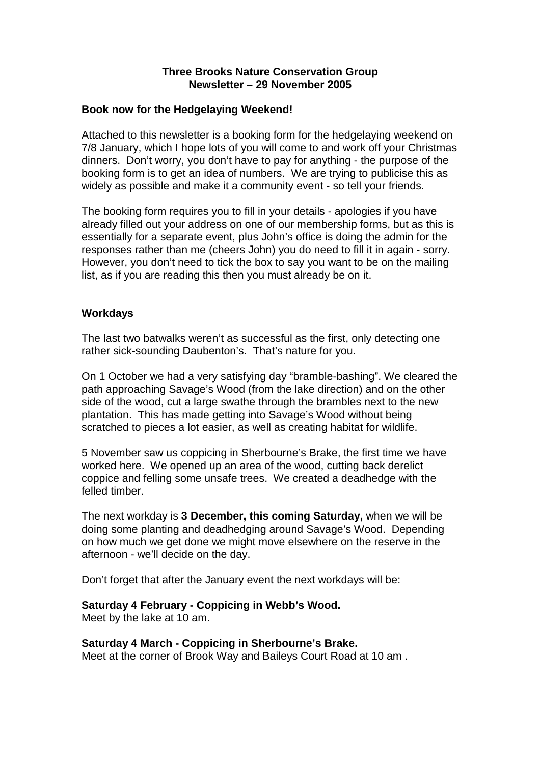#### **Three Brooks Nature Conservation Group Newsletter – 29 November 2005**

#### **Book now for the Hedgelaying Weekend!**

Attached to this newsletter is a booking form for the hedgelaying weekend on 7/8 January, which I hope lots of you will come to and work off your Christmas dinners. Don't worry, you don't have to pay for anything - the purpose of the booking form is to get an idea of numbers. We are trying to publicise this as widely as possible and make it a community event - so tell your friends.

The booking form requires you to fill in your details - apologies if you have already filled out your address on one of our membership forms, but as this is essentially for a separate event, plus John's office is doing the admin for the responses rather than me (cheers John) you do need to fill it in again - sorry. However, you don't need to tick the box to say you want to be on the mailing list, as if you are reading this then you must already be on it.

### **Workdays**

The last two batwalks weren't as successful as the first, only detecting one rather sick-sounding Daubenton's. That's nature for you.

On 1 October we had a very satisfying day "bramble-bashing". We cleared the path approaching Savage's Wood (from the lake direction) and on the other side of the wood, cut a large swathe through the brambles next to the new plantation. This has made getting into Savage's Wood without being scratched to pieces a lot easier, as well as creating habitat for wildlife.

5 November saw us coppicing in Sherbourne's Brake, the first time we have worked here. We opened up an area of the wood, cutting back derelict coppice and felling some unsafe trees. We created a deadhedge with the felled timber.

The next workday is **3 December, this coming Saturday,** when we will be doing some planting and deadhedging around Savage's Wood. Depending on how much we get done we might move elsewhere on the reserve in the afternoon - we'll decide on the day.

Don't forget that after the January event the next workdays will be:

### **Saturday 4 February - Coppicing in Webb's Wood.**

Meet by the lake at 10 am.

### **Saturday 4 March - Coppicing in Sherbourne's Brake.**

Meet at the corner of Brook Way and Baileys Court Road at 10 am .